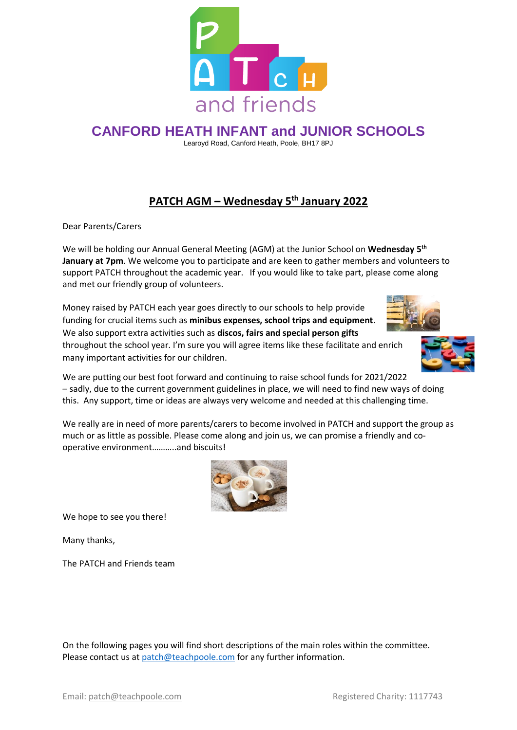

# **CANFORD HEATH INFANT and JUNIOR SCHOOLS**

Learoyd Road, Canford Heath, Poole, BH17 8PJ

## **PATCH AGM – Wednesday 5th January 2022**

Dear Parents/Carers

We will be holding our Annual General Meeting (AGM) at the Junior School on **Wednesday 5 th January at 7pm**. We welcome you to participate and are keen to gather members and volunteers to support PATCH throughout the academic year. If you would like to take part, please come along and met our friendly group of volunteers.

Money raised by PATCH each year goes directly to our schools to help provide funding for crucial items such as **minibus expenses, school trips and equipment**. We also support extra activities such as **discos, fairs and special person gifts** throughout the school year. I'm sure you will agree items like these facilitate and enrich many important activities for our children.



We are putting our best foot forward and continuing to raise school funds for 2021/2022 – sadly, due to the current government guidelines in place, we will need to find new ways of doing this. Any support, time or ideas are always very welcome and needed at this challenging time.

We really are in need of more parents/carers to become involved in PATCH and support the group as much or as little as possible. Please come along and join us, we can promise a friendly and cooperative environment………..and biscuits!



We hope to see you there!

Many thanks,

The PATCH and Friends team

On the following pages you will find short descriptions of the main roles within the committee. Please contact us at [patch@teachpoole.com](mailto:patch@teachpoole.com) for any further information.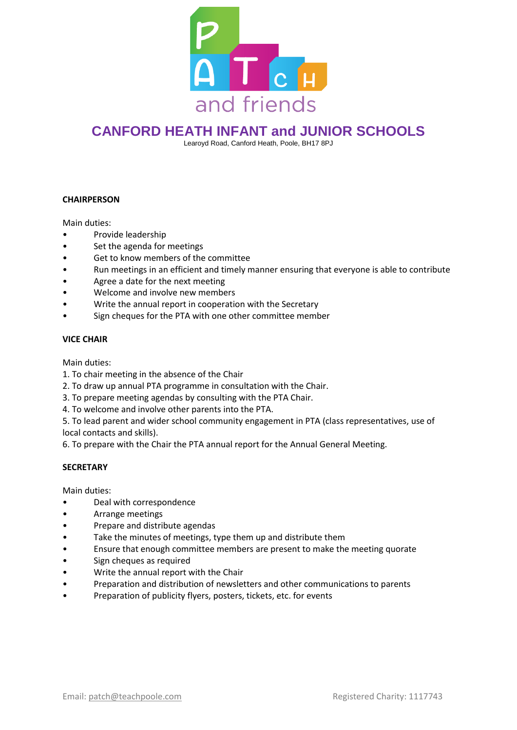

# **CANFORD HEATH INFANT and JUNIOR SCHOOLS**

Learoyd Road, Canford Heath, Poole, BH17 8PJ

### **CHAIRPERSON**

Main duties:

- Provide leadership
- Set the agenda for meetings
- Get to know members of the committee
- Run meetings in an efficient and timely manner ensuring that everyone is able to contribute
- Agree a date for the next meeting
- Welcome and involve new members
- Write the annual report in cooperation with the Secretary
- Sign cheques for the PTA with one other committee member

#### **VICE CHAIR**

Main duties:

- 1. To chair meeting in the absence of the Chair
- 2. To draw up annual PTA programme in consultation with the Chair.
- 3. To prepare meeting agendas by consulting with the PTA Chair.
- 4. To welcome and involve other parents into the PTA.

5. To lead parent and wider school community engagement in PTA (class representatives, use of local contacts and skills).

6. To prepare with the Chair the PTA annual report for the Annual General Meeting.

#### **SECRETARY**

Main duties:

- Deal with correspondence
- Arrange meetings
- Prepare and distribute agendas
- Take the minutes of meetings, type them up and distribute them
- Ensure that enough committee members are present to make the meeting quorate
- Sign cheques as required
- Write the annual report with the Chair
- Preparation and distribution of newsletters and other communications to parents
- Preparation of publicity flyers, posters, tickets, etc. for events